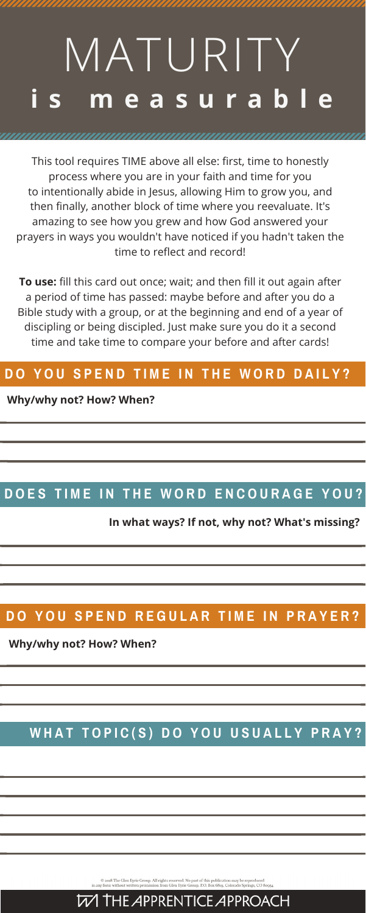# **i s m e a s u r a b l e** MATURITY

This tool requires TIME above all else: first, time to honestly process where you are in your faith and time for you to intentionally abide in Jesus, allowing Him to grow you, and then finally, another block of time where you reevaluate. It's amazing to see how you grew and how God answered your prayers in ways you wouldn't have noticed if you hadn't taken the time to reflect and record!

**To use:** fill this card out once; wait; and then fill it out again after a period of time has passed: maybe before and after you do a Bible study with a group, or at the beginning and end of a year of discipling or being discipled. Just make sure you do it a second time and take time to compare your before and after cards!

#### DO YOU SPEND TIME IN THE WORD DAILY?

#### **Why/why not? How? When?**

#### DOES TIME IN THE WORD ENCOURAGE YOU?

**Why/why not? How? When?**

#### WHAT TOPIC(S) DO YOU USUALLY PRAY?

C 2018 The Glen Eyrie Group. All rights reserved. No part of this publication may be reproduced in any form without written permission from Glen Eyrie Group. P.O. Box 6819, Colorado Springs, CO 80934



**In what ways? If not, why not? What's missing?**

#### DO YOU SPEND REGULAR TIME IN PRAYER?